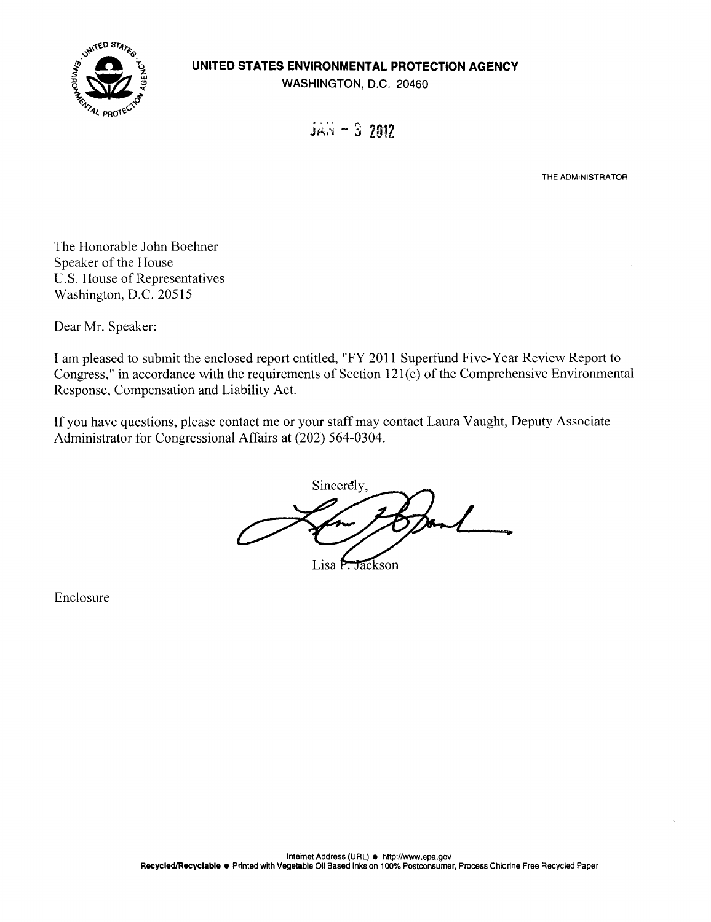

## **UNITED STATES ENVIRONMENTAL PROTECTION AGENCY**

WASHINGTON, D.C. 20460

 $JAN - 32012$ 

**THE ADMINISTRATOR** 

The Honorable John Boehner Speaker of the House U.S. House of Representatives Washington, D.C. 20515

Dear Mr. Speaker:

I am pleased to submit the enclosed report entitled, "FY 2011 Superfund Five-Year Review Report to Congress," in accordance with the requirements of Section 12 1(c) of the Comprehensive Environmental Response, Compensation and Liability Act.

If you have questions, please contact me or your staff may contact Laura Vaught, Deputy Associate Administrator for Congressional Affairs at (202) 564-0304.

Sincerely,

Lisa P. Jackson

Enclosure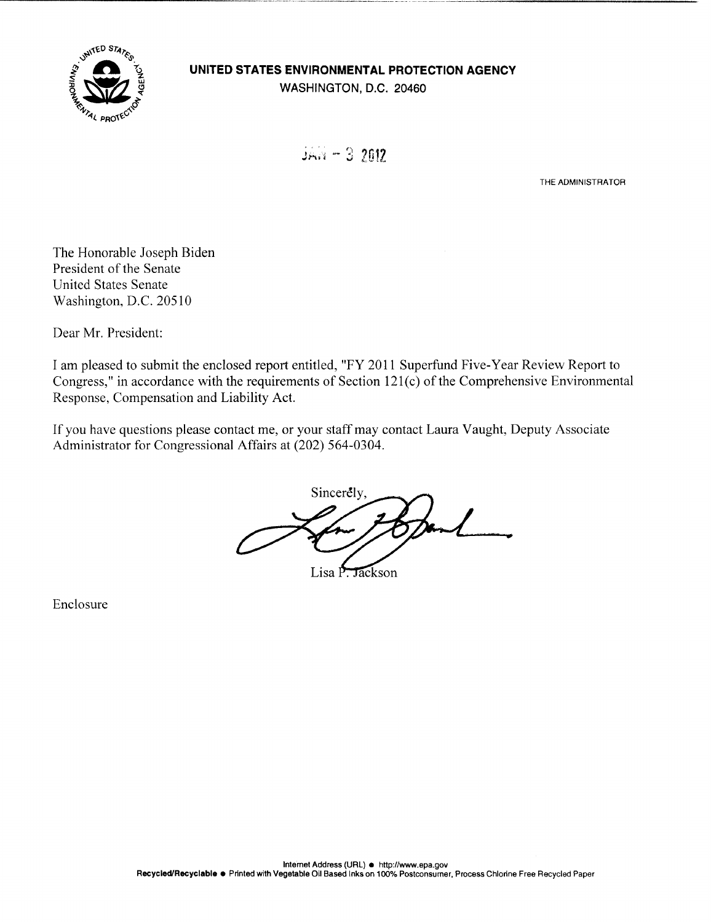

## **UNITED STATES ENVIRONMENTAL PROTECTION AGENCY**

WASHINGTON, D.C. 20460

 $J<sub>2</sub>N<sub>1</sub> - 3$  2012

THE ADMINISTRATOR

The Honorable Joseph Biden President of the Senate United States Senate Washington, D.C. 20510

Dear Mr. President:

I am pleased to submit the enclosed report entitled, "FY 2011 Superfund Five-Year Review Report to Congress," in accordance with the requirements of Section 121(c) of the Comprehensive Environmental Response, Compensation and Liability Act.

If you have questions please contact me, or your staff may contact Laura Vaught, Deputy Associate Administrator for Congressional Affairs at (202) 564-0304.

Sincerely,  $\overline{\phantom{a}}$ 

Lisa P. Jackson

Enclosure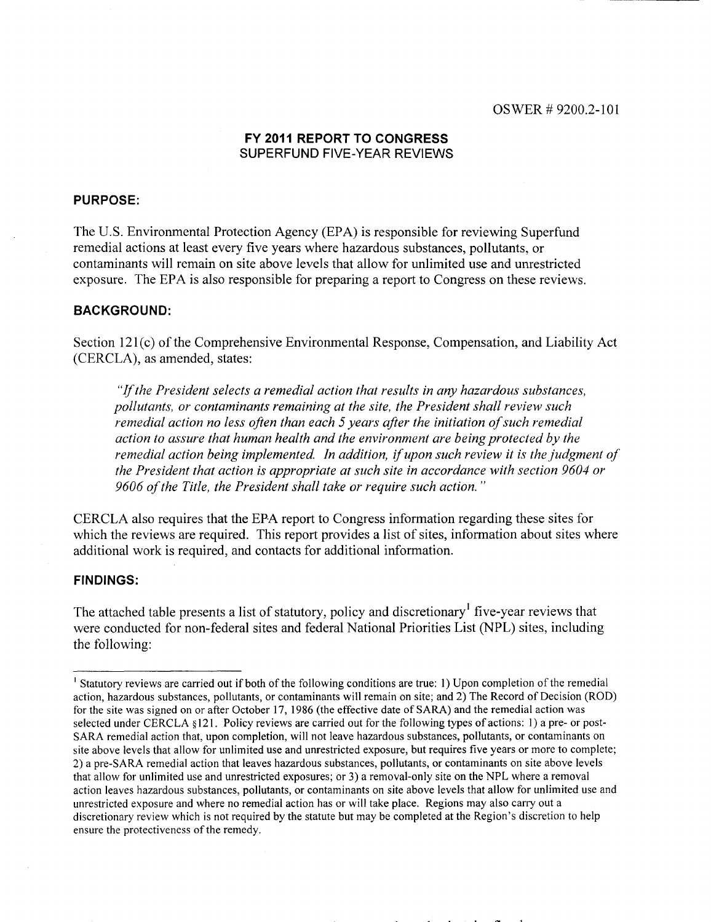### **FY 2011 REPORT TO CONGRESS**  SUPERFUND FIVE-YEAR REVIEWS

### **PURPOSE:**

The U.S. Environmental Protection Agency (EPA) is responsible for reviewing Superfund remedial actions at least every five years where hazardous substances, pollutants, or contaminants will remain on site above levels that allow for unlimited use and unrestricted exposure. The EPA is also responsible for preparing a report to Congress on these reviews.

### **BACKGROUND:**

Section 121(c) of the Comprehensive Environmental Response, Compensation, and Liability Act (CERCLA), as amended, states:

*"If the President selects a remedial action that results in any hazardous substances, pollutants, or contaminants remaining at the site, the President shall review such remedial action no less often than each 5 years after the initiation of such remedial action to assure that human health and the environment are being protected by the remedial action being implemented. In addition, if upon such review it is the judgment of the President that action is appropriate at such site in accordance with section 9604 or 9606 of the Title, the President shall take or require such action."* 

CERCLA also requires that the EPA report to Congress information regarding these sites for which the reviews are required. This report provides a list of sites, information about sites where additional work is required, and contacts for additional information.

#### **FINDINGS:**

The attached table presents a list of statutory, policy and discretionary' five-year reviews that were conducted for non-federal sites and federal National Priorities List (NPL) sites, including the following:

<sup>&</sup>lt;sup>1</sup> Statutory reviews are carried out if both of the following conditions are true: 1) Upon completion of the remedial action, hazardous substances, pollutants, or contaminants will remain on site; and 2) The Record of Decision (ROD) for the site was signed on or after October 17, 1986 (the effective date of SARA) and the remedial action was selected under CERCLA § 121. Policy reviews are carried out for the following types of actions: 1) a pre- or post-SARA remedial action that, upon completion, will not leave hazardous substances, pollutants, or contaminants on site above levels that allow for unlimited use and unrestricted exposure, but requires five years or more to complete; 2) a pre-SARA remedial action that leaves hazardous substances, pollutants, or contaminants on site above levels that allow for unlimited use and unrestricted exposures; or 3) a removal-only site on the NPL where a removal action leaves hazardous substances, pollutants, or contaminants on site above levels that allow for unlimited use and unrestricted exposure and where no remedial action has or will take place. Regions may also carry out a discretionary review which is not required by the statute but may be completed at the Region's discretion to help ensure the protectiveness of the remedy.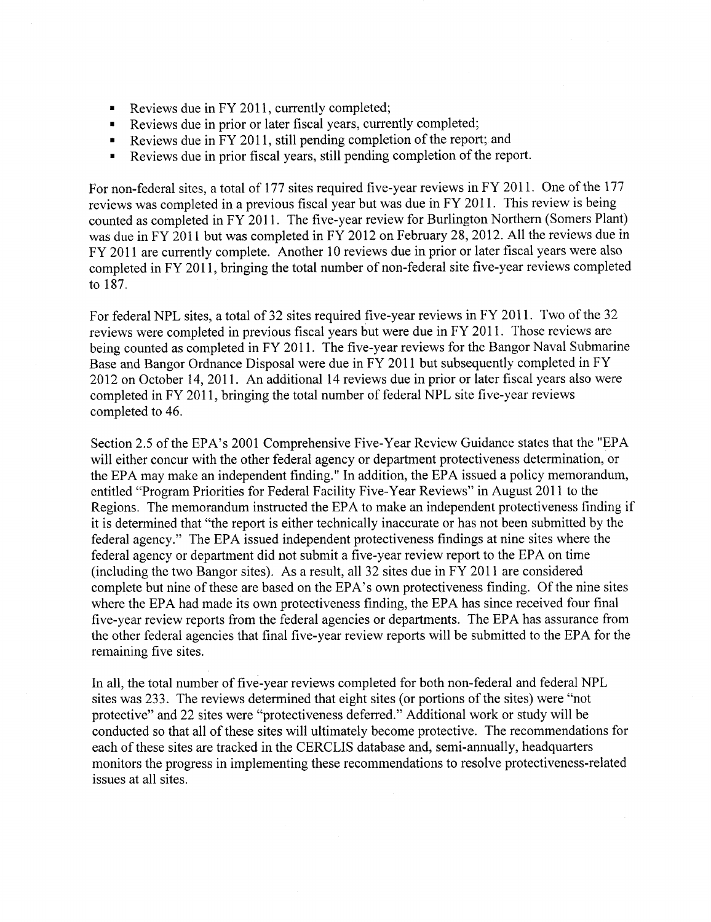- Reviews due in FY 2011, currently completed;
- Reviews due in prior or later fiscal years, currently completed;
- Reviews due in FY 2011, still pending completion of the report; and
- Reviews due in prior fiscal years, still pending completion of the report.

For non-federal sites, a total of 177 sites required five-year reviews in FY 2011. One of the 177 reviews was completed in a previous fiscal year but was due in FY 2011. This review is being counted as completed in FY 2011. The five-year review for Burlington Northern (Somers Plant) was due in FY 2011 but was completed in FY 2012 on February 28, 2012. All the reviews due in FY 2011 are currently complete. Another 10 reviews due in prior or later fiscal years were also completed in FY 2011, bringing the total number of non-federal site five-year reviews completed to 187.

For federal NPL sites, a total of 32 sites required five-year reviews in FY 2011. Two of the 32 reviews were completed in previous fiscal years but were due in FY 2011. Those reviews are being counted as completed in FY 2011. The five-year reviews for the Bangor Naval Submarine Base and Bangor Ordnance Disposal were due in FY 2011 but subsequently completed in FY 2012 on October 14, 2011. An additional 14 reviews due in prior or later fiscal years also were completed in FY 2011, bringing the total number of federal NPL site five-year reviews completed to 46.

Section *2.5* of the EPA's 2001 Comprehensive Five-Year Review Guidance states that the "EPA will either concur with the other federal agency or department protectiveness determination, or the EPA may make an independent finding." In addition, the EPA issued a policy memorandum, entitled "Program Priorities for Federal Facility Five-Year Reviews" in August 2011 to the Regions. The memorandum instructed the EPA to make an independent protectiveness finding if it is determined that "the report is either technically inaccurate or has not been submitted by the federal agency." The EPA issued independent protectiveness findings at nine sites where the federal agency or department did not submit a five-year review report to the EPA on time (including the two Bangor sites). As a result, all 32 sites due in FY 2011 are considered complete but nine of these are based on the EPA's own protectiveness finding. Of the nine sites where the EPA had made its own protectiveness finding, the EPA has since received four final five-year review reports from the federal agencies or departments. The EPA has assurance from the other federal agencies that final five-year review reports will be submitted to the EPA for the remaining five sites.

In all, the total number of five-year reviews completed for both non-federal and federal NPL sites was 233. The reviews determined that eight sites (or portions of the sites) were "not protective" and 22 sites were "protectiveness deferred." Additional work or study will be conducted so that all of these sites will ultimately become protective. The recommendations for each of these sites are tracked in the CERCLIS database and, semi-annually, headquarters monitors the progress in implementing these recommendations to resolve protectiveness-related issues at all sites.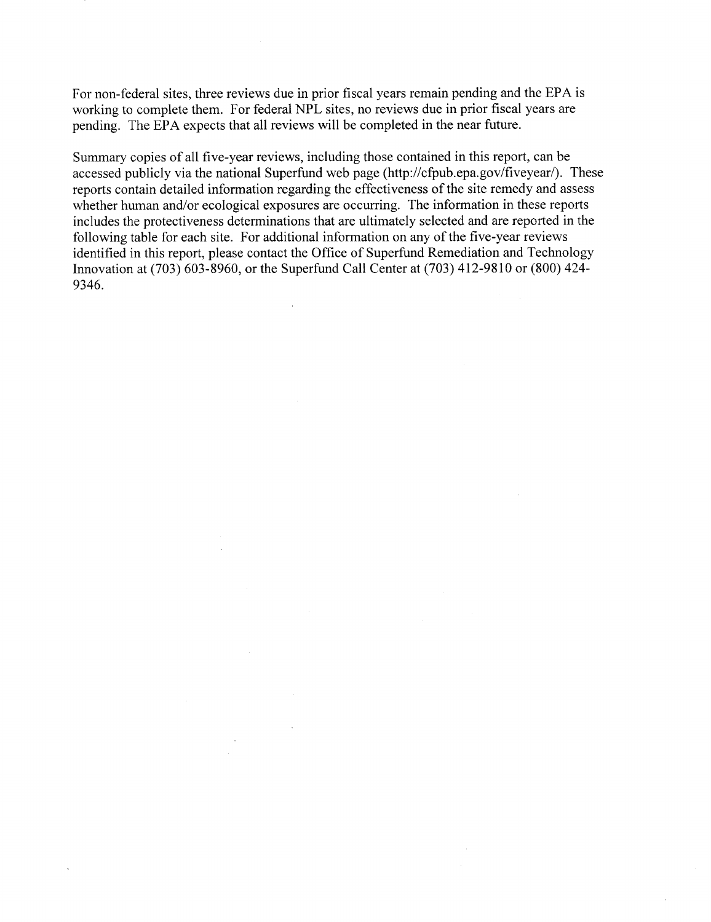For non-federal sites, three reviews due in prior fiscal years remain pending and the EPA is working to complete them. For federal NPL sites, no reviews due in prior fiscal years are pending. The EPA expects that all reviews will be completed in the near future.

Summary copies of all five-year reviews, including those contained in this report, can be accessed publicly via the national Superfund web page (http://cfpub.epa.gov/fiveyear/). These reports contain detailed information regarding the effectiveness of the site remedy and assess whether human and/or ecological exposures are occurring. The information in these reports includes the protectiveness determinations that are ultimately selected and are reported in the following table for each site. For additional information on any of the five-year reviews identified in this report, please contact the Office of Superfund Remediation and Technology Innovation at (703) 603-8960, or the Superfund Call Center at (703) 412-9810 or (800) 424- 9346.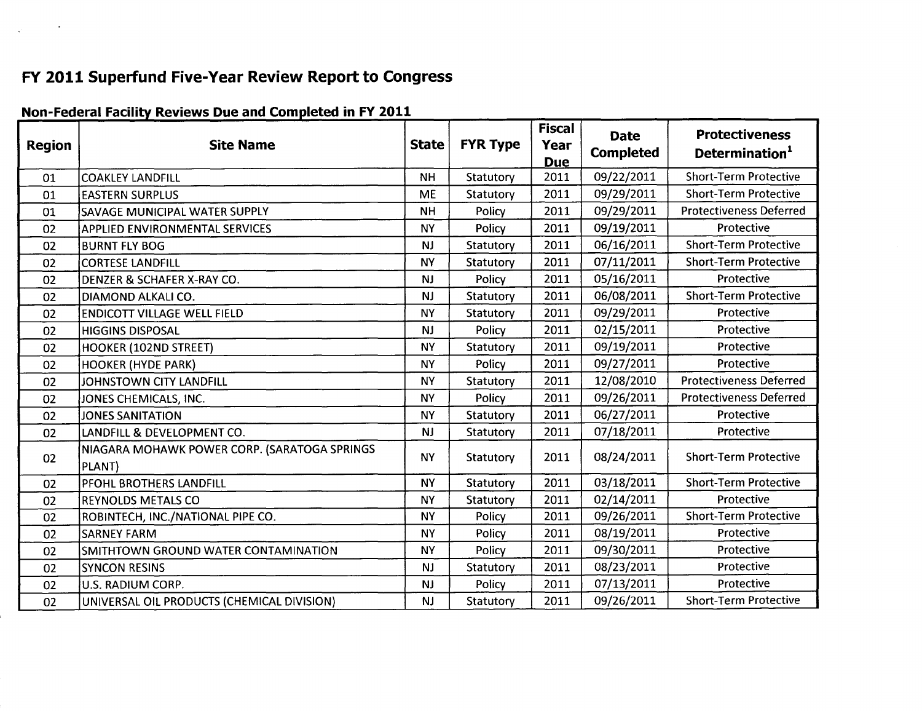# FY 2011 Superfund Five-Year Review Report to Congress

| <b>Region</b> | <b>Site Name</b>                                       | <b>State</b> | <b>FYR Type</b> | <b>Fiscal</b><br>Year<br><b>Due</b> | <b>Date</b><br><b>Completed</b> | <b>Protectiveness</b><br>Determination <sup>1</sup> |  |
|---------------|--------------------------------------------------------|--------------|-----------------|-------------------------------------|---------------------------------|-----------------------------------------------------|--|
| 01            | <b>COAKLEY LANDFILL</b>                                | <b>NH</b>    | Statutory       | 2011                                | 09/22/2011                      | <b>Short-Term Protective</b>                        |  |
| 01            | <b>EASTERN SURPLUS</b>                                 | <b>ME</b>    | Statutory       | 2011                                | 09/29/2011                      | <b>Short-Term Protective</b>                        |  |
| 01            | SAVAGE MUNICIPAL WATER SUPPLY                          | <b>NH</b>    | Policy          | 2011                                | 09/29/2011                      | <b>Protectiveness Deferred</b>                      |  |
| 02            | <b>APPLIED ENVIRONMENTAL SERVICES</b>                  | <b>NY</b>    | Policy          | 2011                                | 09/19/2011                      | Protective                                          |  |
| 02            | <b>BURNT FLY BOG</b>                                   | <b>NJ</b>    | Statutory       | 2011                                | 06/16/2011                      | <b>Short-Term Protective</b>                        |  |
| 02            | <b>CORTESE LANDFILL</b>                                | <b>NY</b>    | Statutory       | 2011                                | 07/11/2011                      | <b>Short-Term Protective</b>                        |  |
| 02            | DENZER & SCHAFER X-RAY CO.                             | NJ.          | Policy          | 2011                                | 05/16/2011                      | Protective                                          |  |
| 02            | DIAMOND ALKALI CO.                                     | NJ           | Statutory       | 2011                                | 06/08/2011                      | <b>Short-Term Protective</b>                        |  |
| 02            | <b>ENDICOTT VILLAGE WELL FIELD</b>                     | <b>NY</b>    | Statutory       | 2011                                | 09/29/2011                      | Protective                                          |  |
| 02            | <b>HIGGINS DISPOSAL</b>                                | <b>NJ</b>    | Policy          | 2011                                | 02/15/2011                      | Protective                                          |  |
| 02            | HOOKER (102ND STREET)                                  | <b>NY</b>    | Statutory       | 2011                                | 09/19/2011                      | Protective                                          |  |
| 02            | <b>HOOKER (HYDE PARK)</b>                              | <b>NY</b>    | Policy          | 2011                                | 09/27/2011                      | Protective                                          |  |
| 02            | JOHNSTOWN CITY LANDFILL                                | <b>NY</b>    | Statutory       | 2011                                | 12/08/2010                      | <b>Protectiveness Deferred</b>                      |  |
| 02            | JONES CHEMICALS, INC.                                  | <b>NY</b>    | Policy          | 2011                                | 09/26/2011                      | <b>Protectiveness Deferred</b>                      |  |
| 02            | <b>JONES SANITATION</b>                                | <b>NY</b>    | Statutory       | 2011                                | 06/27/2011                      | Protective                                          |  |
| 02            | LANDFILL & DEVELOPMENT CO.                             | NJ           | Statutory       | 2011                                | 07/18/2011                      | Protective                                          |  |
| 02            | NIAGARA MOHAWK POWER CORP. (SARATOGA SPRINGS<br>PLANT) | <b>NY</b>    | Statutory       | 2011                                | 08/24/2011                      | <b>Short-Term Protective</b>                        |  |
| 02            | <b>PFOHL BROTHERS LANDFILL</b>                         | <b>NY</b>    | Statutory       | 2011                                | 03/18/2011                      | <b>Short-Term Protective</b>                        |  |
| 02            | <b>REYNOLDS METALS CO</b>                              | <b>NY</b>    | Statutory       | 2011                                | 02/14/2011                      | Protective                                          |  |
| 02            | ROBINTECH, INC./NATIONAL PIPE CO.                      | <b>NY</b>    | Policy          | 2011                                | 09/26/2011                      | <b>Short-Term Protective</b>                        |  |
| 02            | <b>SARNEY FARM</b>                                     | <b>NY</b>    | Policy          | 2011                                | 08/19/2011                      | Protective                                          |  |
| 02            | SMITHTOWN GROUND WATER CONTAMINATION                   | <b>NY</b>    | Policy          | 2011                                | 09/30/2011                      | Protective                                          |  |
| 02            | <b>SYNCON RESINS</b>                                   | <b>NJ</b>    | Statutory       | 2011                                | 08/23/2011                      | Protective                                          |  |
| 02            | U.S. RADIUM CORP.                                      | NJ           | Policy          | 2011                                | 07/13/2011                      | Protective                                          |  |
| 02            | UNIVERSAL OIL PRODUCTS (CHEMICAL DIVISION)             | NJ           | Statutory       | 2011                                | 09/26/2011                      | <b>Short-Term Protective</b>                        |  |

## Non-Federal Facility Reviews Due and Completed in FY 2011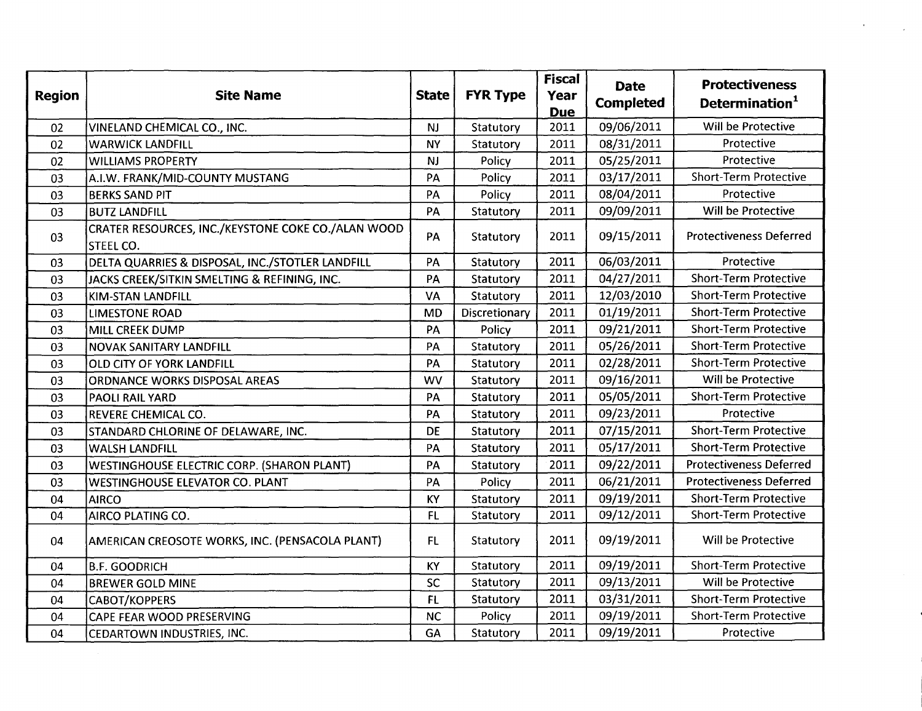| <b>Region</b> | <b>Site Name</b>                                                       | <b>State</b> | <b>FYR Type</b> | <b>Fiscal</b><br>Year<br><b>Due</b> | <b>Date</b><br><b>Completed</b> | <b>Protectiveness</b><br>Determination <sup>1</sup> |  |
|---------------|------------------------------------------------------------------------|--------------|-----------------|-------------------------------------|---------------------------------|-----------------------------------------------------|--|
| 02            | VINELAND CHEMICAL CO., INC.                                            | <b>NJ</b>    | Statutory       | 2011                                | 09/06/2011                      | Will be Protective                                  |  |
| 02            | <b>WARWICK LANDFILL</b>                                                | <b>NY</b>    | Statutory       | 2011                                | 08/31/2011                      | Protective                                          |  |
| 02            | <b>WILLIAMS PROPERTY</b>                                               | <b>NJ</b>    | Policy          | 2011                                | 05/25/2011                      | Protective                                          |  |
| 03            | A.I.W. FRANK/MID-COUNTY MUSTANG                                        | PA           | Policy          | 2011                                | 03/17/2011                      | <b>Short-Term Protective</b>                        |  |
| 03            | <b>BERKS SAND PIT</b>                                                  | PA           | Policy          | 2011                                | 08/04/2011                      | Protective                                          |  |
| 03            | <b>BUTZ LANDFILL</b>                                                   | PA           | Statutory       | 2011                                | 09/09/2011                      | Will be Protective                                  |  |
| 03            | CRATER RESOURCES, INC./KEYSTONE COKE CO./ALAN WOOD<br><b>STEEL CO.</b> | PA           | Statutory       | 2011                                | 09/15/2011                      | <b>Protectiveness Deferred</b>                      |  |
| 03            | DELTA QUARRIES & DISPOSAL, INC./STOTLER LANDFILL                       | PA           | Statutory       | 2011                                | 06/03/2011                      | Protective                                          |  |
| 03            | JACKS CREEK/SITKIN SMELTING & REFINING, INC.                           | PA           | Statutory       | 2011                                | 04/27/2011                      | <b>Short-Term Protective</b>                        |  |
| 03            | <b>KIM-STAN LANDFILL</b>                                               | VA           | Statutory       | 2011                                | 12/03/2010                      | <b>Short-Term Protective</b>                        |  |
| 03            | <b>LIMESTONE ROAD</b>                                                  | <b>MD</b>    | Discretionary   | 2011                                | 01/19/2011                      | <b>Short-Term Protective</b>                        |  |
| 03            | MILL CREEK DUMP                                                        | PA           | Policy          | 2011                                | 09/21/2011                      | <b>Short-Term Protective</b>                        |  |
| 03            | <b>NOVAK SANITARY LANDFILL</b>                                         | PA           | Statutory       | 2011                                | 05/26/2011                      | <b>Short-Term Protective</b>                        |  |
| 03            | OLD CITY OF YORK LANDFILL                                              | PA           | Statutory       | 2011                                | 02/28/2011                      | <b>Short-Term Protective</b>                        |  |
| 03            | <b>ORDNANCE WORKS DISPOSAL AREAS</b>                                   | <b>WV</b>    | Statutory       | 2011                                | 09/16/2011                      | Will be Protective                                  |  |
| 03            | PAOLI RAIL YARD                                                        | PA           | Statutory       | 2011                                | 05/05/2011                      | <b>Short-Term Protective</b>                        |  |
| 03            | REVERE CHEMICAL CO.                                                    | PA           | Statutory       | 2011                                | 09/23/2011                      | Protective                                          |  |
| 03            | STANDARD CHLORINE OF DELAWARE, INC.                                    | <b>DE</b>    | Statutory       | 2011                                | 07/15/2011                      | <b>Short-Term Protective</b>                        |  |
| 03            | <b>WALSH LANDFILL</b>                                                  | PA           | Statutory       | 2011                                | 05/17/2011                      | <b>Short-Term Protective</b>                        |  |
| 03            | <b>WESTINGHOUSE ELECTRIC CORP. (SHARON PLANT)</b>                      | PA           | Statutory       | 2011                                | 09/22/2011                      | <b>Protectiveness Deferred</b>                      |  |
| 03            | <b>WESTINGHOUSE ELEVATOR CO. PLANT</b>                                 | PA           | Policy          | 2011                                | 06/21/2011                      | <b>Protectiveness Deferred</b>                      |  |
| 04            | <b>AIRCO</b>                                                           | KY           | Statutory       | 2011                                | 09/19/2011                      | <b>Short-Term Protective</b>                        |  |
| 04            | AIRCO PLATING CO.                                                      | FL.          | Statutory       | 2011                                | 09/12/2011                      | <b>Short-Term Protective</b>                        |  |
| 04            | AMERICAN CREOSOTE WORKS, INC. (PENSACOLA PLANT)                        | FL.          | Statutory       | 2011                                | 09/19/2011                      | Will be Protective                                  |  |
| 04            | <b>B.F. GOODRICH</b>                                                   | KY           | Statutory       | 2011                                | 09/19/2011                      | <b>Short-Term Protective</b>                        |  |
| 04            | <b>BREWER GOLD MINE</b>                                                | SC           | Statutory       | 2011                                | 09/13/2011                      | Will be Protective                                  |  |
| 04            | CABOT/KOPPERS                                                          | FL           | Statutory       | 2011                                | 03/31/2011                      | <b>Short-Term Protective</b>                        |  |
| 04            | CAPE FEAR WOOD PRESERVING                                              | <b>NC</b>    | Policy          | 2011                                | 09/19/2011                      | <b>Short-Term Protective</b>                        |  |
| 04            | CEDARTOWN INDUSTRIES, INC.                                             | GA           | Statutory       | 2011                                | 09/19/2011                      | Protective                                          |  |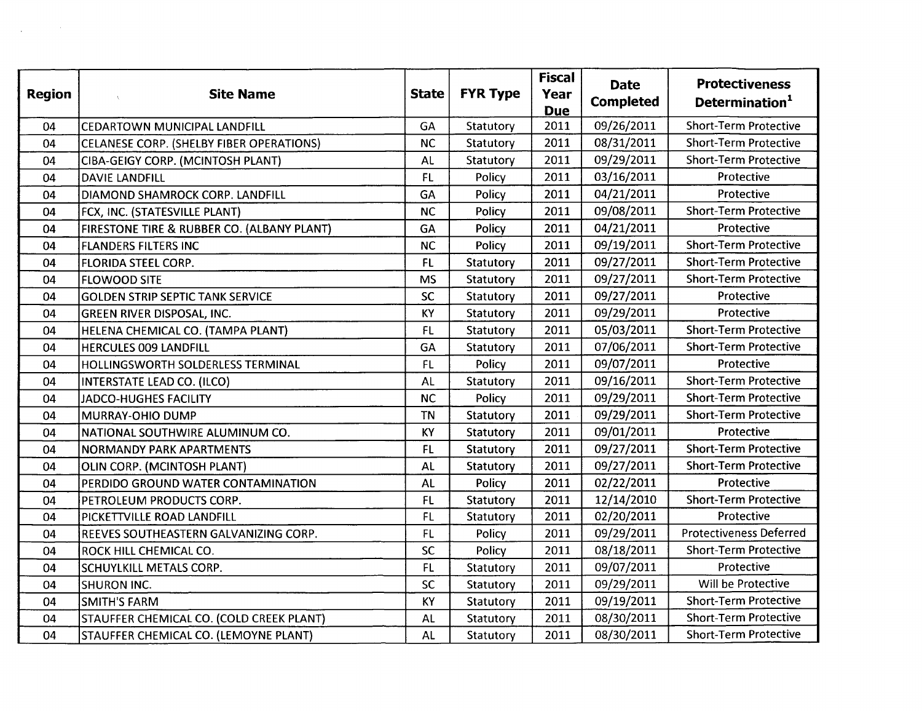| <b>Region</b> | <b>Site Name</b><br>$\Lambda_c$            | <b>State</b> | <b>FYR Type</b> | <b>Fiscal</b><br>Year<br><b>Due</b> | <b>Date</b><br><b>Completed</b> | <b>Protectiveness</b><br>Determination <sup>1</sup> |  |  |
|---------------|--------------------------------------------|--------------|-----------------|-------------------------------------|---------------------------------|-----------------------------------------------------|--|--|
| 04            | <b>CEDARTOWN MUNICIPAL LANDFILL</b>        | GA           | Statutory       | 2011                                | 09/26/2011                      | <b>Short-Term Protective</b>                        |  |  |
| 04            | CELANESE CORP. (SHELBY FIBER OPERATIONS)   | <b>NC</b>    | Statutory       | 2011                                | 08/31/2011                      | Short-Term Protective                               |  |  |
| 04            | CIBA-GEIGY CORP. (MCINTOSH PLANT)          | AL           | Statutory       | 2011                                | 09/29/2011                      | <b>Short-Term Protective</b>                        |  |  |
| 04            | <b>DAVIE LANDFILL</b>                      | FL           | Policy          | 2011                                | 03/16/2011                      | Protective                                          |  |  |
| 04            | DIAMOND SHAMROCK CORP. LANDFILL            | GA           | Policy          | 2011                                | 04/21/2011                      | Protective                                          |  |  |
| 04            | FCX, INC. (STATESVILLE PLANT)              | <b>NC</b>    | Policy          | 2011                                | 09/08/2011                      | <b>Short-Term Protective</b>                        |  |  |
| 04            | FIRESTONE TIRE & RUBBER CO. (ALBANY PLANT) | GA           | Policy          | 2011                                | 04/21/2011                      | Protective                                          |  |  |
| 04            | <b>FLANDERS FILTERS INC</b>                | <b>NC</b>    | Policy          | 2011                                | 09/19/2011                      | Short-Term Protective                               |  |  |
| 04            | <b>FLORIDA STEEL CORP.</b>                 | FL           | Statutory       | 2011                                | 09/27/2011                      | <b>Short-Term Protective</b>                        |  |  |
| 04            | <b>FLOWOOD SITE</b>                        | <b>MS</b>    | Statutory       | 2011                                | 09/27/2011                      | <b>Short-Term Protective</b>                        |  |  |
| 04            | <b>GOLDEN STRIP SEPTIC TANK SERVICE</b>    | <b>SC</b>    | Statutory       | 2011                                | 09/27/2011                      | Protective                                          |  |  |
| 04            | <b>GREEN RIVER DISPOSAL, INC.</b>          | KY           | Statutory       | 2011                                | 09/29/2011                      | Protective                                          |  |  |
| 04            | HELENA CHEMICAL CO. (TAMPA PLANT)          | FL.          | Statutory       | 2011                                | 05/03/2011                      | <b>Short-Term Protective</b>                        |  |  |
| 04            | <b>HERCULES 009 LANDFILL</b>               | GA           | Statutory       | 2011                                | 07/06/2011                      | <b>Short-Term Protective</b>                        |  |  |
| 04            | <b>HOLLINGSWORTH SOLDERLESS TERMINAL</b>   | <b>FL</b>    | Policy          | 2011                                | 09/07/2011                      | Protective                                          |  |  |
| 04            | INTERSTATE LEAD CO. (ILCO)                 | <b>AL</b>    | Statutory       | 2011                                | 09/16/2011                      | <b>Short-Term Protective</b>                        |  |  |
| 04            | JADCO-HUGHES FACILITY                      | <b>NC</b>    | Policy          | 2011                                | 09/29/2011                      | <b>Short-Term Protective</b>                        |  |  |
| 04            | MURRAY-OHIO DUMP                           | <b>TN</b>    | Statutory       | 2011                                | 09/29/2011                      | <b>Short-Term Protective</b>                        |  |  |
| 04            | NATIONAL SOUTHWIRE ALUMINUM CO.            | KY           | Statutory       | 2011                                | 09/01/2011                      | Protective                                          |  |  |
| 04            | <b>NORMANDY PARK APARTMENTS</b>            | <b>FL</b>    | Statutory       | 2011                                | 09/27/2011                      | <b>Short-Term Protective</b>                        |  |  |
| 04            | OLIN CORP. (MCINTOSH PLANT)                | <b>AL</b>    | Statutory       | 2011                                | 09/27/2011                      | <b>Short-Term Protective</b>                        |  |  |
| 04            | PERDIDO GROUND WATER CONTAMINATION         | <b>AL</b>    | Policy          | 2011                                | 02/22/2011                      | Protective                                          |  |  |
| 04            | PETROLEUM PRODUCTS CORP.                   | <b>FL</b>    | Statutory       | 2011                                | 12/14/2010                      | <b>Short-Term Protective</b>                        |  |  |
| 04            | PICKETTVILLE ROAD LANDFILL                 | FL.          | Statutory       | 2011                                | 02/20/2011                      | Protective                                          |  |  |
| 04            | REEVES SOUTHEASTERN GALVANIZING CORP.      | FL.          | Policy          | 2011                                | 09/29/2011                      | <b>Protectiveness Deferred</b>                      |  |  |
| 04            | ROCK HILL CHEMICAL CO.                     | SC           | Policy          | 2011                                | 08/18/2011                      | <b>Short-Term Protective</b>                        |  |  |
| 04            | <b>SCHUYLKILL METALS CORP.</b>             | FL.          | Statutory       | 2011                                | 09/07/2011                      | Protective                                          |  |  |
| 04            | SHURON INC.                                | SC           | Statutory       | 2011                                | 09/29/2011                      | Will be Protective                                  |  |  |
| 04            | <b>SMITH'S FARM</b>                        | KY           | Statutory       | 2011                                | 09/19/2011                      | <b>Short-Term Protective</b>                        |  |  |
| 04            | STAUFFER CHEMICAL CO. (COLD CREEK PLANT)   | <b>AL</b>    | Statutory       | 2011                                | 08/30/2011                      | <b>Short-Term Protective</b>                        |  |  |
| 04            | STAUFFER CHEMICAL CO. (LEMOYNE PLANT)      | AL           | Statutory       | 2011                                | 08/30/2011                      | <b>Short-Term Protective</b>                        |  |  |

 $\label{eq:2.1} \frac{1}{\sqrt{2\pi}}\int_{-\infty}^{\infty} \frac{1}{\sqrt{2\pi}}\left(\frac{1}{\sqrt{2\pi}}\right)^{2\alpha} \frac{1}{\sqrt{2\pi}}\frac{1}{\sqrt{2\pi}}\int_{0}^{\infty} \frac{1}{\sqrt{2\pi}}\frac{1}{\sqrt{2\pi}}\frac{1}{\sqrt{2\pi}}\frac{1}{\sqrt{2\pi}}\frac{1}{\sqrt{2\pi}}\frac{1}{\sqrt{2\pi}}\frac{1}{\sqrt{2\pi}}\frac{1}{\sqrt{2\pi}}\frac{1}{\sqrt{2\pi}}\frac{1}{\sqrt{2\pi$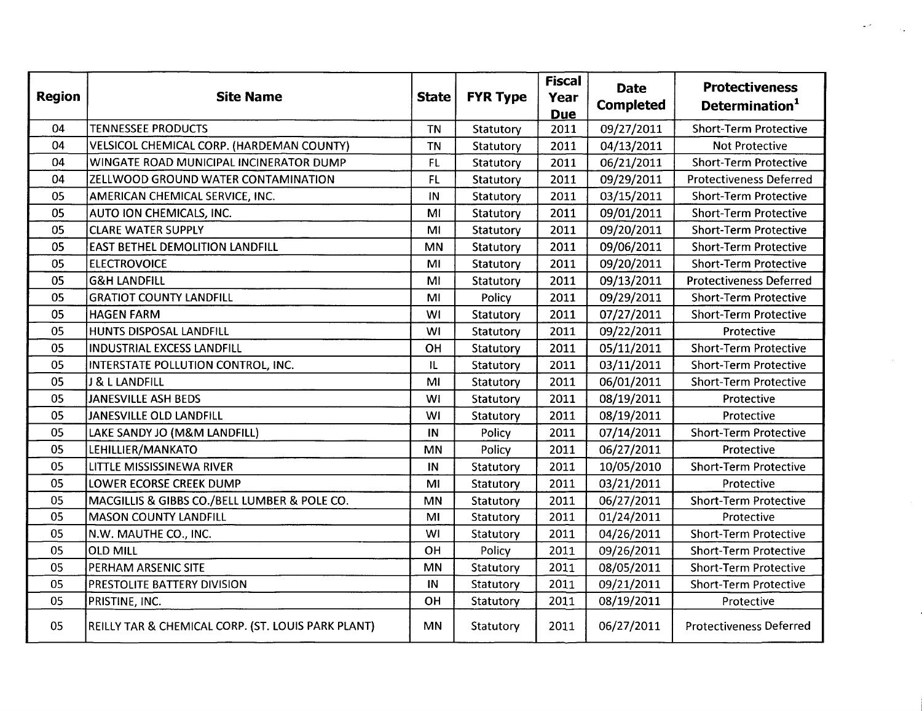| <b>Region</b> | <b>Site Name</b>                                   | <b>State</b> | <b>FYR Type</b> | <b>Fiscal</b><br>Year<br><b>Due</b> | <b>Date</b><br><b>Completed</b> | <b>Protectiveness</b><br>Determination <sup>1</sup> |  |
|---------------|----------------------------------------------------|--------------|-----------------|-------------------------------------|---------------------------------|-----------------------------------------------------|--|
| 04            | <b>TENNESSEE PRODUCTS</b>                          | <b>TN</b>    | Statutory       | 2011                                | 09/27/2011                      | <b>Short-Term Protective</b>                        |  |
| 04            | VELSICOL CHEMICAL CORP. (HARDEMAN COUNTY)          | <b>TN</b>    | Statutory       | 2011                                | 04/13/2011                      | <b>Not Protective</b>                               |  |
| 04            | WINGATE ROAD MUNICIPAL INCINERATOR DUMP            | FL           | Statutory       | 2011                                | 06/21/2011                      | <b>Short-Term Protective</b>                        |  |
| 04            | ZELLWOOD GROUND WATER CONTAMINATION                | FL           | Statutory       | 2011                                | 09/29/2011                      | <b>Protectiveness Deferred</b>                      |  |
| 05            | AMERICAN CHEMICAL SERVICE, INC.                    | IN           | Statutory       | 2011                                | 03/15/2011                      | <b>Short-Term Protective</b>                        |  |
| 05            | AUTO ION CHEMICALS, INC.                           | MI           | Statutory       | 2011                                | 09/01/2011                      | <b>Short-Term Protective</b>                        |  |
| 05            | <b>CLARE WATER SUPPLY</b>                          | MI           | Statutory       | 2011                                | 09/20/2011                      | <b>Short-Term Protective</b>                        |  |
| 05            | <b>EAST BETHEL DEMOLITION LANDFILL</b>             | <b>MN</b>    | Statutory       | 2011                                | 09/06/2011                      | <b>Short-Term Protective</b>                        |  |
| 05            | <b>ELECTROVOICE</b>                                | MI           | Statutory       | 2011                                | 09/20/2011                      | <b>Short-Term Protective</b>                        |  |
| 05            | <b>G&amp;H LANDFILL</b>                            | MI           | Statutory       | 2011                                | 09/13/2011                      | <b>Protectiveness Deferred</b>                      |  |
| 05            | <b>GRATIOT COUNTY LANDFILL</b>                     | MI           | Policy          | 2011                                | 09/29/2011                      | <b>Short-Term Protective</b>                        |  |
| 05            | <b>HAGEN FARM</b>                                  | WI           | Statutory       | 2011                                | 07/27/2011                      | <b>Short-Term Protective</b>                        |  |
| 05            | HUNTS DISPOSAL LANDFILL                            | WI           | Statutory       | 2011                                | 09/22/2011                      | Protective                                          |  |
| 05            | <b>INDUSTRIAL EXCESS LANDFILL</b>                  | OH           | Statutory       | 2011                                | 05/11/2011                      | <b>Short-Term Protective</b>                        |  |
| 05            | INTERSTATE POLLUTION CONTROL, INC.                 | IL           | Statutory       | 2011                                | 03/11/2011                      | <b>Short-Term Protective</b>                        |  |
| 05            | J & L LANDFILL                                     | MI           | Statutory       | 2011                                | 06/01/2011                      | <b>Short-Term Protective</b>                        |  |
| 05            | <b>JANESVILLE ASH BEDS</b>                         | WI           | Statutory       | 2011                                | 08/19/2011                      | Protective                                          |  |
| 05            | JANESVILLE OLD LANDFILL                            | WI           | Statutory       | 2011                                | 08/19/2011                      | Protective                                          |  |
| 05            | LAKE SANDY JO (M&M LANDFILL)                       | IN           | Policy          | 2011                                | 07/14/2011                      | <b>Short-Term Protective</b>                        |  |
| 05            | LEHILLIER/MANKATO                                  | MN           | Policy          | 2011                                | 06/27/2011                      | Protective                                          |  |
| 05            | LITTLE MISSISSINEWA RIVER                          | IN           | Statutory       | 2011                                | 10/05/2010                      | <b>Short-Term Protective</b>                        |  |
| 05            | LOWER ECORSE CREEK DUMP                            | MI           | Statutory       | 2011                                | 03/21/2011                      | Protective                                          |  |
| 05            | MACGILLIS & GIBBS CO./BELL LUMBER & POLE CO.       | <b>MN</b>    | Statutory       | 2011                                | 06/27/2011                      | <b>Short-Term Protective</b>                        |  |
| 05            | <b>MASON COUNTY LANDFILL</b>                       | MI           | Statutory       | 2011                                | 01/24/2011                      | Protective                                          |  |
| 05            | N.W. MAUTHE CO., INC.                              | WI           | Statutory       | 2011                                | 04/26/2011                      | <b>Short-Term Protective</b>                        |  |
| 05            | <b>OLD MILL</b>                                    | OH           | Policy          | 2011                                | 09/26/2011                      | <b>Short-Term Protective</b>                        |  |
| 05            | PERHAM ARSENIC SITE                                | <b>MN</b>    | Statutory       | 2011                                | 08/05/2011                      | <b>Short-Term Protective</b>                        |  |
| 05            | PRESTOLITE BATTERY DIVISION                        | IN           | Statutory       | 2011                                | 09/21/2011                      | <b>Short-Term Protective</b>                        |  |
| 05            | PRISTINE, INC.                                     | OH           | Statutory       | 2011                                | 08/19/2011                      | Protective                                          |  |
| 05            | REILLY TAR & CHEMICAL CORP. (ST. LOUIS PARK PLANT) | MN           | Statutory       | 2011                                | 06/27/2011                      | <b>Protectiveness Deferred</b>                      |  |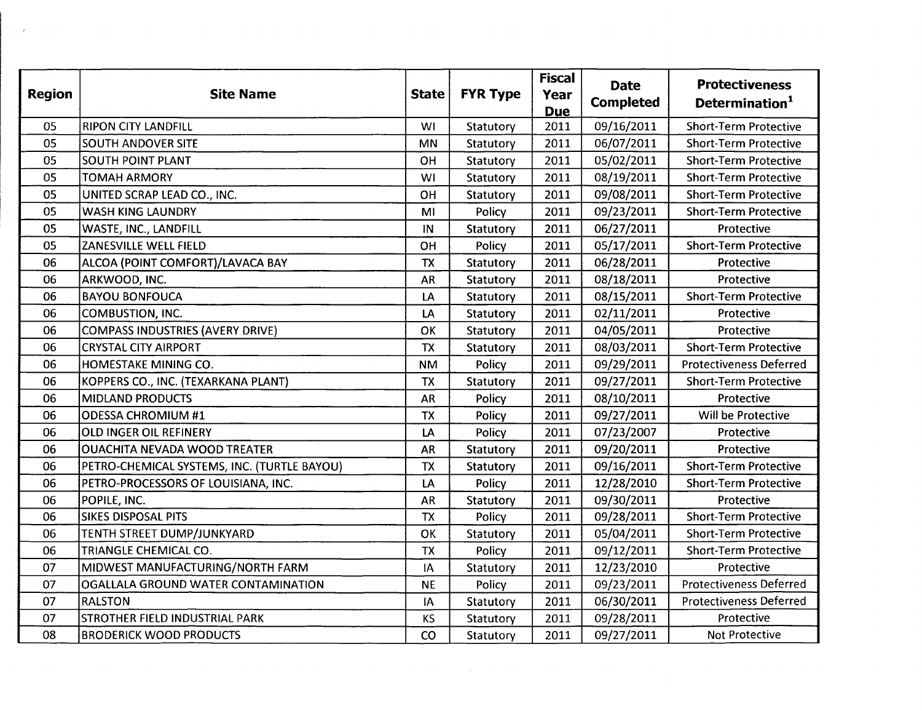| <b>Region</b> | <b>Site Name</b>                            | <b>State</b> | <b>FYR Type</b> | <b>Fiscal</b><br>Year<br><b>Due</b> | <b>Date</b><br><b>Completed</b> | <b>Protectiveness</b><br>Determination <sup>1</sup> |  |
|---------------|---------------------------------------------|--------------|-----------------|-------------------------------------|---------------------------------|-----------------------------------------------------|--|
| 05            | <b>RIPON CITY LANDFILL</b>                  | WI           | Statutory       | 2011                                | 09/16/2011                      | <b>Short-Term Protective</b>                        |  |
| 05            | <b>SOUTH ANDOVER SITE</b>                   | <b>MN</b>    | Statutory       | 2011                                | 06/07/2011                      | <b>Short-Term Protective</b>                        |  |
| 05            | <b>SOUTH POINT PLANT</b>                    | OH           | Statutory       | 2011                                | 05/02/2011                      | <b>Short-Term Protective</b>                        |  |
| 05            | <b>TOMAH ARMORY</b>                         | WI           | Statutory       | 2011                                | 08/19/2011                      | <b>Short-Term Protective</b>                        |  |
| 05            | UNITED SCRAP LEAD CO., INC.                 | OH           | Statutory       | 2011                                | 09/08/2011                      | <b>Short-Term Protective</b>                        |  |
| 05            | <b>WASH KING LAUNDRY</b>                    | MI           | Policy          | 2011                                | 09/23/2011                      | <b>Short-Term Protective</b>                        |  |
| 05            | WASTE, INC., LANDFILL                       | IN           | Statutory       | 2011                                | 06/27/2011                      | Protective                                          |  |
| 05            | ZANESVILLE WELL FIELD                       | OH           | Policy          | 2011                                | 05/17/2011                      | <b>Short-Term Protective</b>                        |  |
| 06            | ALCOA (POINT COMFORT)/LAVACA BAY            | <b>TX</b>    | Statutory       | 2011                                | 06/28/2011                      | Protective                                          |  |
| 06            | ARKWOOD, INC.                               | <b>AR</b>    | Statutory       | 2011                                | 08/18/2011                      | Protective                                          |  |
| 06            | <b>BAYOU BONFOUCA</b>                       | LA           | Statutory       | 2011                                | 08/15/2011                      | <b>Short-Term Protective</b>                        |  |
| 06            | <b>COMBUSTION, INC.</b>                     | LA           | Statutory       | 2011                                | 02/11/2011                      | Protective                                          |  |
| 06            | <b>COMPASS INDUSTRIES (AVERY DRIVE)</b>     | OK           | Statutory       | 2011                                | 04/05/2011                      | Protective                                          |  |
| 06            | <b>CRYSTAL CITY AIRPORT</b>                 | <b>TX</b>    | Statutory       | 2011                                | 08/03/2011                      | <b>Short-Term Protective</b>                        |  |
| 06            | HOMESTAKE MINING CO.                        | <b>NM</b>    | Policy          | 2011                                | 09/29/2011                      | <b>Protectiveness Deferred</b>                      |  |
| 06            | KOPPERS CO., INC. (TEXARKANA PLANT)         | <b>TX</b>    | Statutory       | 2011                                | 09/27/2011                      | <b>Short-Term Protective</b>                        |  |
| 06            | <b>MIDLAND PRODUCTS</b>                     | <b>AR</b>    | Policy          | 2011                                | 08/10/2011                      | Protective                                          |  |
| 06            | <b>ODESSA CHROMIUM #1</b>                   | <b>TX</b>    | Policy          | 2011                                | 09/27/2011                      | Will be Protective                                  |  |
| 06            | OLD INGER OIL REFINERY                      | LA           | Policy          | 2011                                | 07/23/2007                      | Protective                                          |  |
| 06            | <b>OUACHITA NEVADA WOOD TREATER</b>         | <b>AR</b>    | Statutory       | 2011                                | 09/20/2011                      | Protective                                          |  |
| 06            | PETRO-CHEMICAL SYSTEMS, INC. (TURTLE BAYOU) | <b>ΤΧ</b>    | Statutory       | 2011                                | 09/16/2011                      | <b>Short-Term Protective</b>                        |  |
| 06            | PETRO-PROCESSORS OF LOUISIANA, INC.         | LA           | Policy          | 2011                                | 12/28/2010                      | <b>Short-Term Protective</b>                        |  |
| 06            | POPILE, INC.                                | AR           | Statutory       | 2011                                | 09/30/2011                      | Protective                                          |  |
| 06            | <b>SIKES DISPOSAL PITS</b>                  | <b>TX</b>    | Policy          | 2011                                | 09/28/2011                      | <b>Short-Term Protective</b>                        |  |
| 06            | TENTH STREET DUMP/JUNKYARD                  | OK           | Statutory       | 2011                                | 05/04/2011                      | <b>Short-Term Protective</b>                        |  |
| 06            | TRIANGLE CHEMICAL CO.                       | <b>TX</b>    | Policy          | 2011                                | 09/12/2011                      | <b>Short-Term Protective</b>                        |  |
| 07            | MIDWEST MANUFACTURING/NORTH FARM            | IA           | Statutory       | 2011                                | 12/23/2010                      | Protective                                          |  |
| 07            | OGALLALA GROUND WATER CONTAMINATION         | <b>NE</b>    | Policy          | 2011                                | 09/23/2011                      | <b>Protectiveness Deferred</b>                      |  |
| 07            | <b>RALSTON</b>                              | IA           | Statutory       | 2011                                | 06/30/2011                      | <b>Protectiveness Deferred</b>                      |  |
| 07            | STROTHER FIELD INDUSTRIAL PARK              | KS           | Statutory       | 2011                                | 09/28/2011                      | Protective                                          |  |
| 08            | <b>BRODERICK WOOD PRODUCTS</b>              | CO           | Statutory       | 2011                                | 09/27/2011                      | Not Protective                                      |  |
|               |                                             |              |                 |                                     |                                 |                                                     |  |

 $\label{eq:2.1} \frac{1}{2} \sum_{i=1}^n \frac{1}{2} \left( \frac{1}{2} \sum_{i=1}^n \frac{1}{2} \sum_{i=1}^n \frac{1}{2} \sum_{i=1}^n \frac{1}{2} \sum_{i=1}^n \frac{1}{2} \sum_{i=1}^n \frac{1}{2} \sum_{i=1}^n \frac{1}{2} \sum_{i=1}^n \frac{1}{2} \sum_{i=1}^n \frac{1}{2} \sum_{i=1}^n \frac{1}{2} \sum_{i=1}^n \frac{1}{2} \sum_{i=1}^n \frac{1}{2} \sum$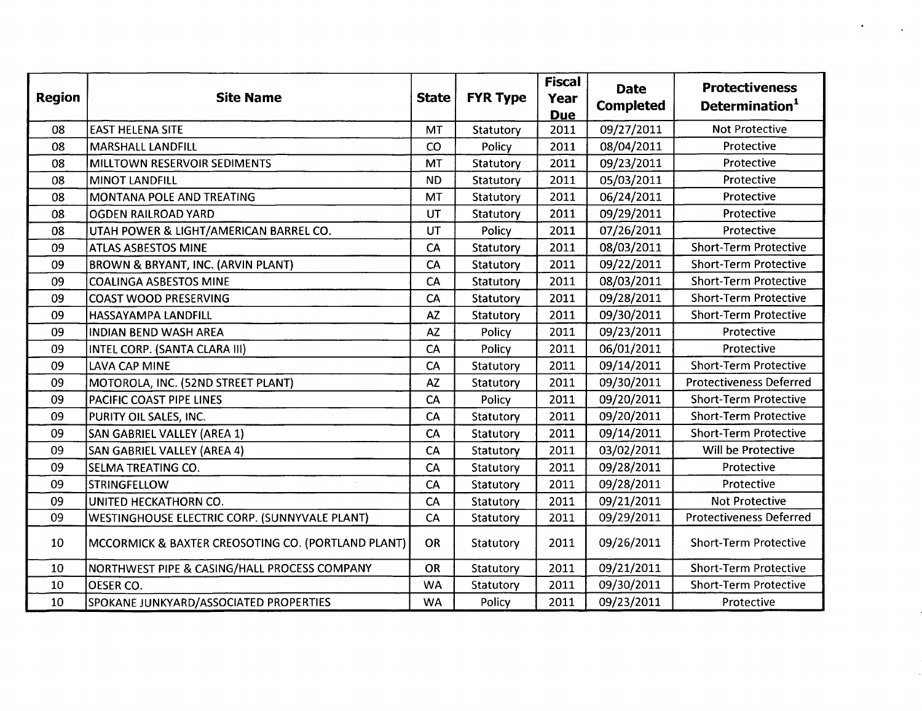| <b>Region</b> | <b>Site Name</b>                                   | <b>State</b> | <b>FYR Type</b>  | <b>Fiscal</b><br>Year<br><b>Due</b> | <b>Date</b><br><b>Completed</b> | <b>Protectiveness</b><br>Determination <sup>1</sup> |  |
|---------------|----------------------------------------------------|--------------|------------------|-------------------------------------|---------------------------------|-----------------------------------------------------|--|
| 08            | <b>EAST HELENA SITE</b>                            | MT           | Statutory        | 2011                                | 09/27/2011                      | <b>Not Protective</b>                               |  |
| 08            | <b>MARSHALL LANDFILL</b>                           | CO           | Policy           | 2011                                | 08/04/2011                      | Protective                                          |  |
| 08            | MILLTOWN RESERVOIR SEDIMENTS                       | MT           | Statutory        | 2011                                | 09/23/2011                      | Protective                                          |  |
| 08            | <b>MINOT LANDFILL</b>                              | <b>ND</b>    | Statutory        | 2011                                | 05/03/2011                      | Protective                                          |  |
| 08            | MONTANA POLE AND TREATING                          | MT           | Statutory        | 2011                                | 06/24/2011                      | Protective                                          |  |
| 08            | <b>OGDEN RAILROAD YARD</b>                         | UT           | Statutory        | 2011                                | 09/29/2011                      | Protective                                          |  |
| 08            | UTAH POWER & LIGHT/AMERICAN BARREL CO.             | UT           | Policy           | 2011                                | 07/26/2011                      | Protective                                          |  |
| 09            | <b>ATLAS ASBESTOS MINE</b>                         | <b>CA</b>    | Statutory        | 2011                                | 08/03/2011                      | <b>Short-Term Protective</b>                        |  |
| 09            | <b>BROWN &amp; BRYANT, INC. (ARVIN PLANT)</b>      | CA           | Statutory        | 2011                                | 09/22/2011                      | <b>Short-Term Protective</b>                        |  |
| 09            | <b>COALINGA ASBESTOS MINE</b>                      | CA           | Statutory        | 2011                                | 08/03/2011                      | <b>Short-Term Protective</b>                        |  |
| 09            | COAST WOOD PRESERVING                              | CA           | <b>Statutory</b> | 2011                                | 09/28/2011                      | <b>Short-Term Protective</b>                        |  |
| 09            | HASSAYAMPA LANDFILL                                | <b>AZ</b>    | Statutory        | 2011                                | 09/30/2011                      | <b>Short-Term Protective</b>                        |  |
| 09            | <b>INDIAN BEND WASH AREA</b>                       | <b>AZ</b>    | Policy           | 2011                                | 09/23/2011                      | Protective                                          |  |
| 09            | INTEL CORP. (SANTA CLARA III)                      | CA           | Policy           | 2011                                | 06/01/2011                      | Protective                                          |  |
| 09            | <b>LAVA CAP MINE</b>                               | CA           | Statutory        | 2011                                | 09/14/2011                      | <b>Short-Term Protective</b>                        |  |
| 09            | MOTOROLA, INC. (52ND STREET PLANT)                 | AZ           | Statutory        | 2011                                | 09/30/2011                      | <b>Protectiveness Deferred</b>                      |  |
| 09            | PACIFIC COAST PIPE LINES                           | CA           | Policy           | 2011                                | 09/20/2011                      | <b>Short-Term Protective</b>                        |  |
| 09            | PURITY OIL SALES, INC.                             | CA           | Statutory        | 2011                                | 09/20/2011                      | <b>Short-Term Protective</b>                        |  |
| 09            | SAN GABRIEL VALLEY (AREA 1)                        | CA           | Statutory        | 2011                                | 09/14/2011                      | <b>Short-Term Protective</b>                        |  |
| 09            | <b>SAN GABRIEL VALLEY (AREA 4)</b>                 | CA           | Statutory        | 2011                                | 03/02/2011                      | Will be Protective                                  |  |
| 09            | SELMA TREATING CO.                                 | CA           | Statutory        | 2011                                | 09/28/2011                      | Protective                                          |  |
| 09            | <b>STRINGFELLOW</b>                                | CA           | Statutory        | 2011                                | 09/28/2011                      | Protective                                          |  |
| 09            | UNITED HECKATHORN CO.                              | CA           | Statutory        | 2011                                | 09/21/2011                      | <b>Not Protective</b>                               |  |
| 09            | WESTINGHOUSE ELECTRIC CORP. (SUNNYVALE PLANT)      | CA           | Statutory        | 2011                                | 09/29/2011                      | <b>Protectiveness Deferred</b>                      |  |
| 10            | MCCORMICK & BAXTER CREOSOTING CO. (PORTLAND PLANT) | OR           | Statutory        | 2011                                | 09/26/2011                      | <b>Short-Term Protective</b>                        |  |
| 10            | NORTHWEST PIPE & CASING/HALL PROCESS COMPANY       | OR           | Statutory        | 2011                                | 09/21/2011                      | <b>Short-Term Protective</b>                        |  |
| 10            | OESER CO.                                          | <b>WA</b>    | Statutory        | 2011                                | 09/30/2011                      | <b>Short-Term Protective</b>                        |  |
| 10            | SPOKANE JUNKYARD/ASSOCIATED PROPERTIES             | <b>WA</b>    | Policy           | 2011                                | 09/23/2011                      | Protective                                          |  |

 $\mathcal{L}_{\bullet}$  .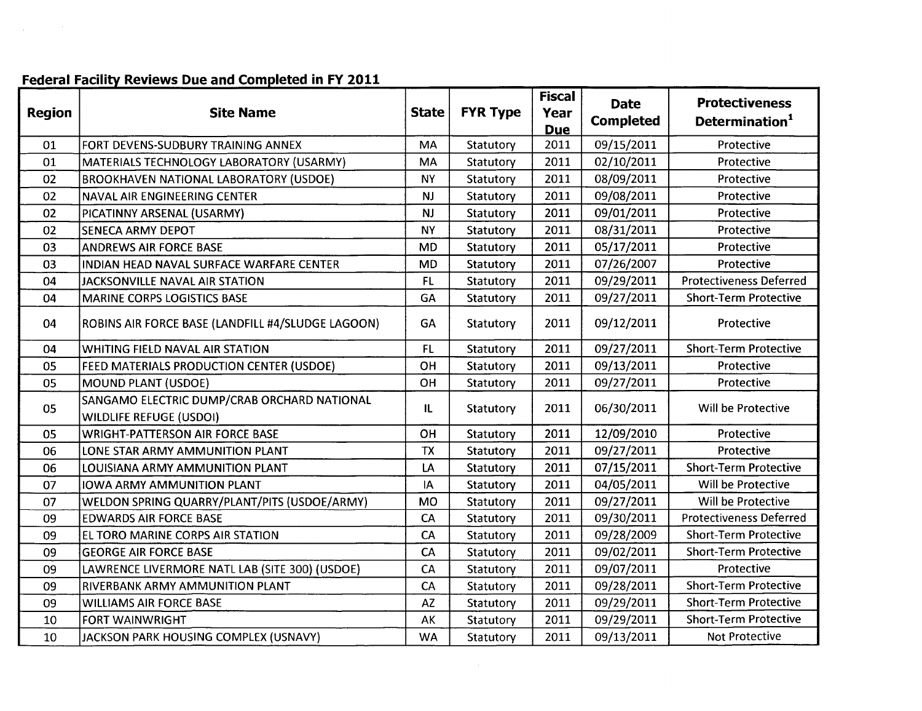# Federal Facility Reviews Due and Completed in FY 2011

 $\sim 10^6$ 

| <b>Region</b> | <b>Site Name</b>                                                              | <b>State</b> | <b>FYR Type</b> | <b>Fiscal</b><br>Year<br><b>Due</b> | <b>Date</b><br><b>Completed</b> | <b>Protectiveness</b><br>Determination <sup>1</sup> |  |
|---------------|-------------------------------------------------------------------------------|--------------|-----------------|-------------------------------------|---------------------------------|-----------------------------------------------------|--|
| 01            | FORT DEVENS-SUDBURY TRAINING ANNEX                                            | MA           | Statutory       | 2011                                | 09/15/2011                      | Protective                                          |  |
| 01            | MATERIALS TECHNOLOGY LABORATORY (USARMY)                                      | MA           | Statutory       | 2011                                | 02/10/2011                      | Protective                                          |  |
| 02            | <b>BROOKHAVEN NATIONAL LABORATORY (USDOE)</b>                                 | <b>NY</b>    | Statutory       | 2011                                | 08/09/2011                      | Protective                                          |  |
| 02            | NAVAL AIR ENGINEERING CENTER                                                  | <b>NJ</b>    | Statutory       | 2011                                | 09/08/2011                      | Protective                                          |  |
| 02            | PICATINNY ARSENAL (USARMY)                                                    | <b>NJ</b>    | Statutory       | 2011                                | 09/01/2011                      | Protective                                          |  |
| 02            | <b>SENECA ARMY DEPOT</b>                                                      | <b>NY</b>    | Statutory       | 2011                                | 08/31/2011                      | Protective                                          |  |
| 03            | <b>ANDREWS AIR FORCE BASE</b>                                                 | <b>MD</b>    | Statutory       | 2011                                | 05/17/2011                      | Protective                                          |  |
| 03            | INDIAN HEAD NAVAL SURFACE WARFARE CENTER                                      | <b>MD</b>    | Statutory       | 2011                                | 07/26/2007                      | Protective                                          |  |
| 04            | JACKSONVILLE NAVAL AIR STATION                                                | <b>FL</b>    | Statutory       | 2011                                | 09/29/2011                      | <b>Protectiveness Deferred</b>                      |  |
| 04            | <b>MARINE CORPS LOGISTICS BASE</b>                                            | GA           | Statutory       | 2011                                | 09/27/2011                      | <b>Short-Term Protective</b>                        |  |
| 04            | ROBINS AIR FORCE BASE (LANDFILL #4/SLUDGE LAGOON)                             | GA           | Statutory       | 2011                                | 09/12/2011                      | Protective                                          |  |
| 04            | WHITING FIELD NAVAL AIR STATION                                               | FL           | Statutory       | 2011                                | 09/27/2011                      | <b>Short-Term Protective</b>                        |  |
| 05            | FEED MATERIALS PRODUCTION CENTER (USDOE)                                      | OH           | Statutory       | 2011                                | 09/13/2011                      | Protective                                          |  |
| 05            | <b>MOUND PLANT (USDOE)</b>                                                    | OH           | Statutory       | 2011                                | 09/27/2011                      | Protective                                          |  |
| 05            | SANGAMO ELECTRIC DUMP/CRAB ORCHARD NATIONAL<br><b>WILDLIFE REFUGE (USDOI)</b> | IL           | Statutory       | 2011                                | 06/30/2011                      | Will be Protective                                  |  |
| 05            | <b>WRIGHT-PATTERSON AIR FORCE BASE</b>                                        | OH           | Statutory       | 2011                                | 12/09/2010                      | Protective                                          |  |
| 06            | LONE STAR ARMY AMMUNITION PLANT                                               | <b>TX</b>    | Statutory       | 2011                                | 09/27/2011                      | Protective                                          |  |
| 06            | LOUISIANA ARMY AMMUNITION PLANT                                               | LA           | Statutory       | 2011                                | 07/15/2011                      | <b>Short-Term Protective</b>                        |  |
| 07            | <b>IOWA ARMY AMMUNITION PLANT</b>                                             | IA           | Statutory       | 2011                                | 04/05/2011                      | Will be Protective                                  |  |
| 07            | WELDON SPRING QUARRY/PLANT/PITS (USDOE/ARMY)                                  | <b>MO</b>    | Statutory       | 2011                                | 09/27/2011                      | Will be Protective                                  |  |
| 09            | <b>EDWARDS AIR FORCE BASE</b>                                                 | CA           | Statutory       | 2011                                | 09/30/2011                      | <b>Protectiveness Deferred</b>                      |  |
| 09            | EL TORO MARINE CORPS AIR STATION                                              | CA           | Statutory       | 2011                                | 09/28/2009                      | <b>Short-Term Protective</b>                        |  |
| 09            | <b>GEORGE AIR FORCE BASE</b>                                                  | CA           | Statutory       | 2011                                | 09/02/2011                      | <b>Short-Term Protective</b>                        |  |
| 09            | LAWRENCE LIVERMORE NATL LAB (SITE 300) (USDOE)                                | CA           | Statutory       | 2011                                | 09/07/2011                      | Protective                                          |  |
| 09            | RIVERBANK ARMY AMMUNITION PLANT                                               | CA           | Statutory       | 2011                                | 09/28/2011                      | <b>Short-Term Protective</b>                        |  |
| 09            | <b>WILLIAMS AIR FORCE BASE</b>                                                | AZ           | Statutory       | 2011                                | 09/29/2011                      | <b>Short-Term Protective</b>                        |  |
| 10            | <b>FORT WAINWRIGHT</b>                                                        | AK           | Statutory       | 2011                                | 09/29/2011                      | <b>Short-Term Protective</b>                        |  |
| 10            | JACKSON PARK HOUSING COMPLEX (USNAVY)                                         | <b>WA</b>    | Statutory       | 2011                                | 09/13/2011                      | <b>Not Protective</b>                               |  |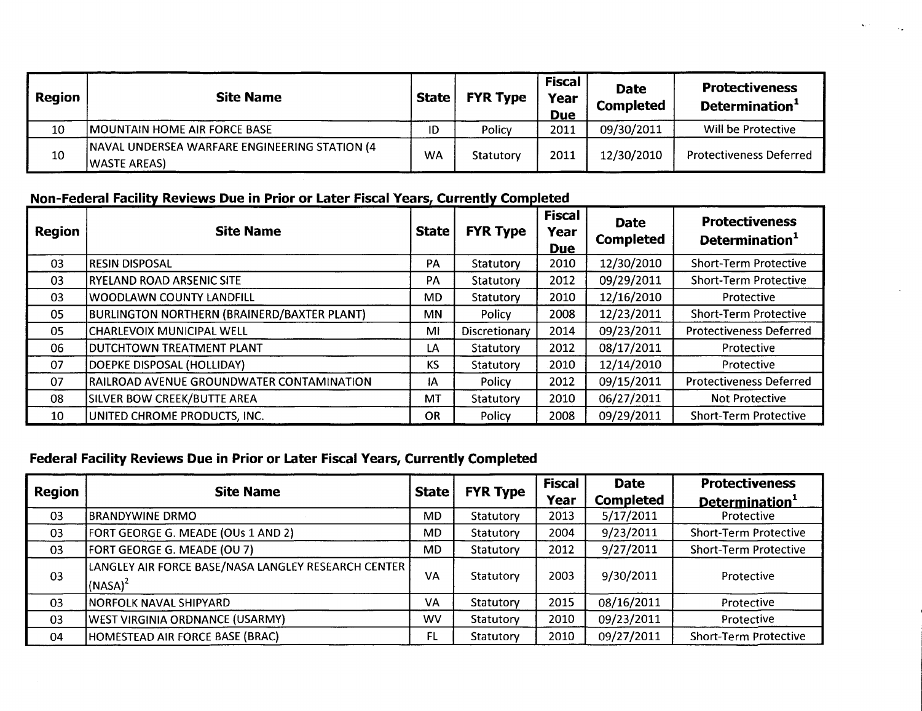| <b>Region</b> | <b>Site Name</b>                                                      | State | <b>FYR Type</b> | <b>Fiscal</b><br>Year<br><b>Due</b> | <b>Date</b><br><b>Completed</b> | <b>Protectiveness</b><br>Determination <sup>1</sup> |
|---------------|-----------------------------------------------------------------------|-------|-----------------|-------------------------------------|---------------------------------|-----------------------------------------------------|
| 10            | MOUNTAIN HOME AIR FORCE BASE                                          | ID    | Policy          | 2011                                | 09/30/2011                      | Will be Protective                                  |
| 10            | <b>NAVAL UNDERSEA WARFARE ENGINEERING STATION (4)</b><br>WASTE AREAS) | WA    | Statutory       | 2011                                | 12/30/2010                      | <b>Protectiveness Deferred</b>                      |

## Non-Federal Facility Reviews Due in Prior or Later Fiscal Years, Currently Completed

| Region | <b>Site Name</b>                            | <b>State</b> | <b>FYR Type</b> | <b>Fiscal</b><br><b>Year</b><br><b>Due</b> | <b>Date</b><br><b>Completed</b> | <b>Protectiveness</b><br>Determination <sup>1</sup> |  |
|--------|---------------------------------------------|--------------|-----------------|--------------------------------------------|---------------------------------|-----------------------------------------------------|--|
| 03     | RESIN DISPOSAL                              | PA           | Statutory       | 2010                                       | 12/30/2010                      | <b>Short-Term Protective</b>                        |  |
| 03     | IRYELAND ROAD ARSENIC SITE                  | PA           | Statutory       | 2012                                       | 09/29/2011                      | <b>Short-Term Protective</b>                        |  |
| 03     | <b>WOODLAWN COUNTY LANDFILL</b>             | MD           | Statutory       | 2010                                       | 12/16/2010                      | Protective                                          |  |
| 05     | BURLINGTON NORTHERN (BRAINERD/BAXTER PLANT) | <b>MN</b>    | Policy          | 2008                                       | 12/23/2011                      | <b>Short-Term Protective</b>                        |  |
| 05     | CHARLEVOIX MUNICIPAL WELL                   | MI           | Discretionary   | 2014                                       | 09/23/2011                      | <b>Protectiveness Deferred</b>                      |  |
| 06     | DUTCHTOWN TREATMENT PLANT                   | LA           | Statutory       | 2012                                       | 08/17/2011                      | Protective                                          |  |
| 07     | DOEPKE DISPOSAL (HOLLIDAY)                  | KS           | Statutory       | 2010                                       | 12/14/2010                      | Protective                                          |  |
| 07     | RAILROAD AVENUE GROUNDWATER CONTAMINATION   | IA           | Policy          | 2012                                       | 09/15/2011                      | <b>Protectiveness Deferred</b>                      |  |
| 08     | SILVER BOW CREEK/BUTTE AREA                 | MT           | Statutory       | 2010                                       | 06/27/2011                      | Not Protective                                      |  |
| 10     | UNITED CHROME PRODUCTS, INC.                | OR           | Policy          | 2008                                       | 09/29/2011                      | <b>Short-Term Protective</b>                        |  |

## Federal Facility Reviews Due in Prior or Later Fiscal Years, Currently Completed

| <b>Region</b> | <b>Site Name</b>                                                  | <b>State</b> | <b>FYR Type</b> | <b>Fiscal</b><br>Year | <b>Date</b><br><b>Completed</b> | <b>Protectiveness</b><br>Determination <sup>1</sup> |
|---------------|-------------------------------------------------------------------|--------------|-----------------|-----------------------|---------------------------------|-----------------------------------------------------|
| 03            | <b>IBRANDYWINE DRMO</b>                                           | <b>MD</b>    | Statutory       | 2013                  | 5/17/2011                       | Protective                                          |
| 03            | FORT GEORGE G. MEADE (OUs 1 AND 2)                                | <b>MD</b>    | Statutory       | 2004                  | 9/23/2011                       | <b>Short-Term Protective</b>                        |
| 03            | FORT GEORGE G. MEADE (OU 7)                                       | <b>MD</b>    | Statutory       | 2012                  | 9/27/2011                       | <b>Short-Term Protective</b>                        |
| 03            | LANGLEY AIR FORCE BASE/NASA LANGLEY RESEARCH CENTER<br>$(NASA)^2$ | VA           | Statutory       | 2003                  | 9/30/2011                       | Protective                                          |
| 03            | NORFOLK NAVAL SHIPYARD                                            | VA           | Statutory       | 2015                  | 08/16/2011                      | Protective                                          |
| 03            | <b>WEST VIRGINIA ORDNANCE (USARMY)</b>                            | <b>WV</b>    | Statutory       | 2010                  | 09/23/2011                      | Protective                                          |
| 04            | HOMESTEAD AIR FORCE BASE (BRAC)                                   | FL           | Statutory       | 2010                  | 09/27/2011                      | <b>Short-Term Protective</b>                        |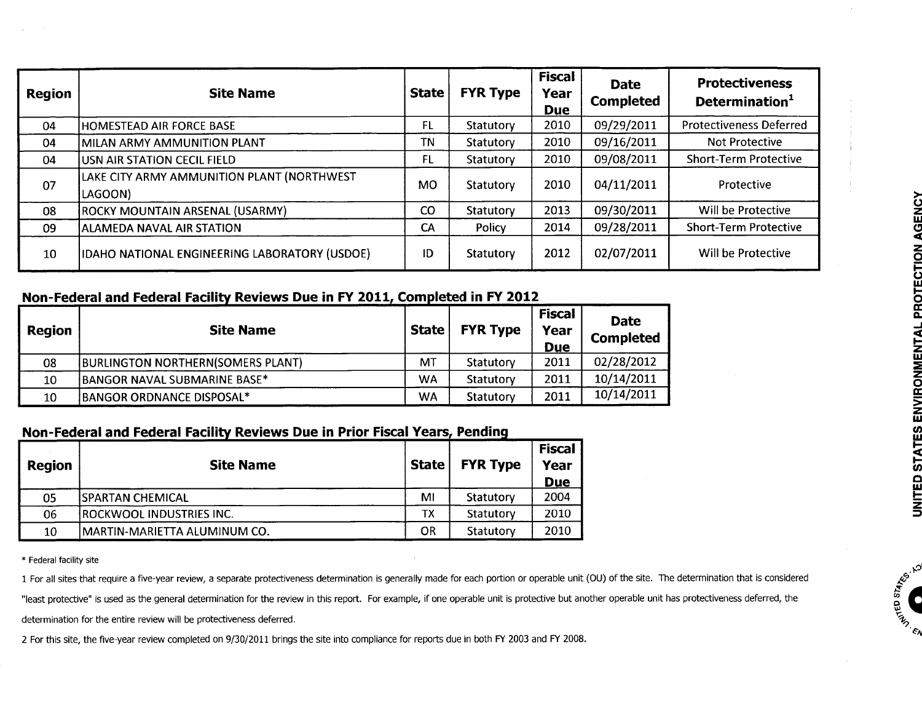| Region | <b>Site Name</b>                                      | <b>State</b> | <b>FYR Type</b> | <b>Fiscal</b><br>Year<br><b>Due</b> | <b>Date</b><br><b>Completed</b> | <b>Protectiveness</b><br>Determination <sup>1</sup> |  |
|--------|-------------------------------------------------------|--------------|-----------------|-------------------------------------|---------------------------------|-----------------------------------------------------|--|
| 04     | HOMESTEAD AIR FORCE BASE                              | FL           | Statutory       | 2010                                | 09/29/2011                      | <b>Protectiveness Deferred</b>                      |  |
| 04     | MILAN ARMY AMMUNITION PLANT                           | ΤN           | Statutory       | 2010                                | 09/16/2011                      | Not Protective                                      |  |
| 04     | USN AIR STATION CECIL FIELD                           | FL           | Statutory       | 2010                                | 09/08/2011                      | <b>Short-Term Protective</b>                        |  |
| 07     | LAKE CITY ARMY AMMUNITION PLANT (NORTHWEST<br>LAGOON) | <b>MO</b>    | Statutory       | 2010                                | 04/11/2011                      | Protective                                          |  |
| 08     | ROCKY MOUNTAIN ARSENAL (USARMY)                       | CO           | Statutory       | 2013                                | 09/30/2011                      | Will be Protective                                  |  |
| 09     | ALAMEDA NAVAL AIR STATION                             | СA           | Policy          | 2014                                | 09/28/2011                      | <b>Short-Term Protective</b>                        |  |
| 10     | IDAHO NATIONAL ENGINEERING LABORATORY (USDOE)         | ID           | Statutory       | 2012                                | 02/07/2011                      | Will be Protective                                  |  |

## Non-Federal and Federal Facility Reviews Due in FY 2011, Completed in FY 2012

| Region | <b>Site Name</b>                         | <b>State</b> | <b>FYR Type</b> | <b>Fiscal</b><br>Year<br><b>Due</b> | <b>Date</b><br><b>Completed</b> |
|--------|------------------------------------------|--------------|-----------------|-------------------------------------|---------------------------------|
| 08     | <b>BURLINGTON NORTHERN(SOMERS PLANT)</b> | MT           | Statutory       | 2011                                | 02/28/2012                      |
| 10     | BANGOR NAVAL SUBMARINE BASE*             | <b>WA</b>    | Statutory       | 2011                                | 10/14/2011                      |
| 10     | BANGOR ORDNANCE DISPOSAL*                | WA           | Statutory       | 2011                                | 10/14/2011                      |

# Non-Federal and Federal Facility Reviews Due in Prior Fiscal Years, Pending

| <b>Region</b> | <b>Site Name</b>                 | <b>State</b> | <b>FYR Type</b> | <b>Fiscal</b><br>Year<br><b>Due</b> |
|---------------|----------------------------------|--------------|-----------------|-------------------------------------|
| 05            | ISPARTAN CHEMICAL                | MI           | Statutory       | 2004                                |
| 06            | <b>IROCKWOOL INDUSTRIES INC.</b> | ТX           | Statutory       | 2010                                |
| 10            | IMARTIN-MARIETTA ALUMINUM CO.    | OR           | Statutory       | 2010                                |

\* Federal facility site

1 For all sites that require a five-year review, a separate protectiveness determination is generally made for each portion or operable unit (OU) of the site. The determination that is considered

"least protective" is used as the general determination for the review in this report. For example, if one operable unit is protective but another operable unit has protectiveness deferred, the

determination for the entire review will be protectiveness deferred.

2 For this site, the five-year review completed on 9/30/2011 brings the site into compliance for reports due in both FY 2003 and FY 2008.